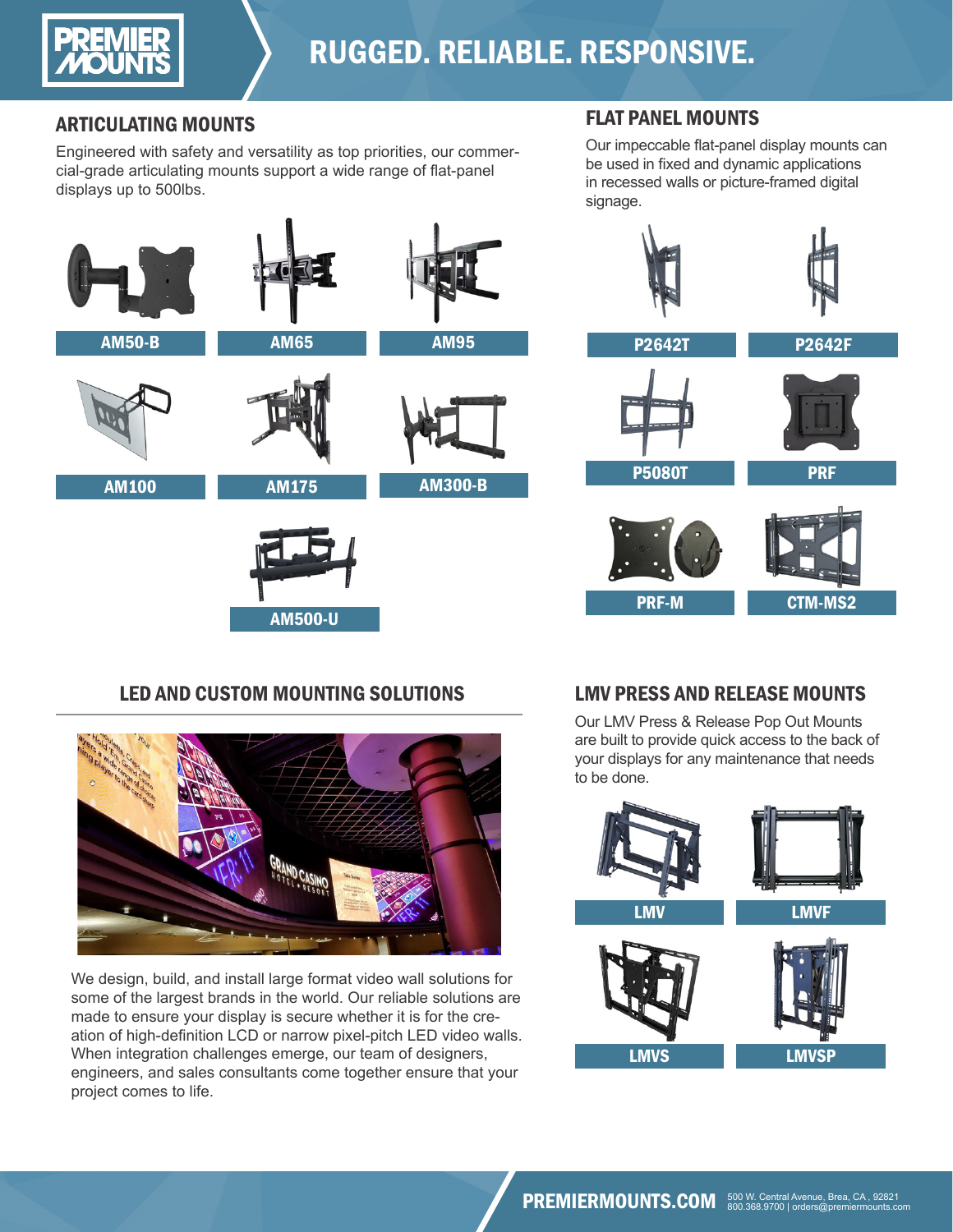

## RUGGED. RELIABLE. RESPONSIVE.

## ARTICULATING MOUNTS

Engineered with safety and versatility as top priorities, our commercial-grade articulating mounts support a wide range of flat-panel displays up to 500lbs.

## FLAT PANEL MOUNTS

Our impeccable flat-panel display mounts can be used in fixed and dynamic applications in recessed walls or picture-framed digital signage.



## LED AND CUSTOM MOUNTING SOLUTIONS



We design, build, and install large format video wall solutions for some of the largest brands in the world. Our reliable solutions are made to ensure your display is secure whether it is for the creation of high-definition LCD or narrow pixel-pitch LED video walls. When integration challenges emerge, our team of designers, engineers, and sales consultants come together ensure that your project comes to life.

## LMV PRESS AND RELEASE MOUNTS

Our LMV Press & Release Pop Out Mounts are built to provide quick access to the back of your displays for any maintenance that needs to be done.

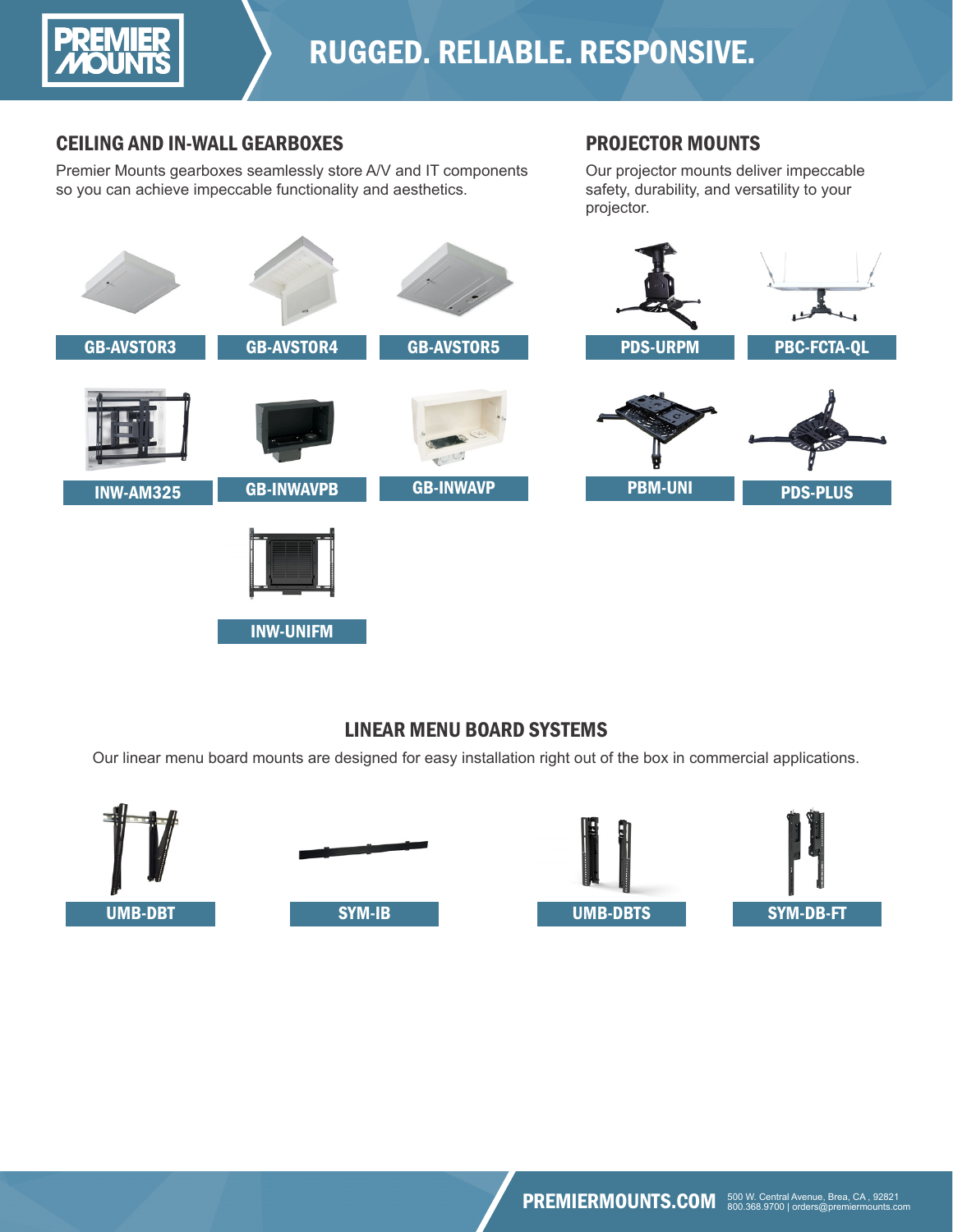

## CEILING AND IN-WALL GEARBOXES

Premier Mounts gearboxes seamlessly store A/V and IT components so you can achieve impeccable functionality and aesthetics.

#### PROJECTOR MOUNTS

Our projector mounts deliver impeccable safety, durability, and versatility to your projector.



## LINEAR MENU BOARD SYSTEMS

Our linear menu board mounts are designed for easy installation right out of the box in commercial applications.